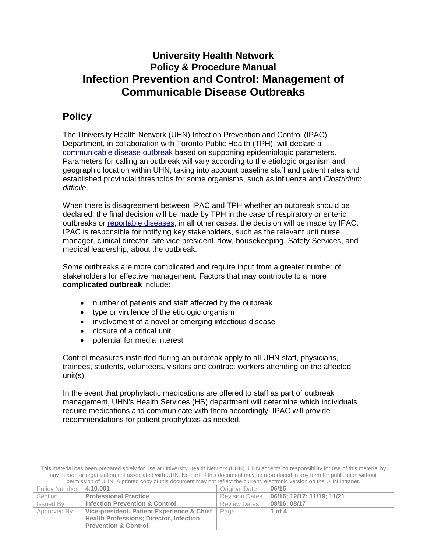# **University Health Network Policy & Procedure Manual Infection Prevention and Control: Management of Communicable Disease Outbreaks**

# **Policy**

The University Health Network (UHN) Infection Prevention and Control (IPAC) Department, in collaboration with Toronto Public Health (TPH), will declare a communicable [disease outbreak](#page-2-0) based on supporting epidemiologic parameters. Parameters for calling an outbreak will vary according to the etiologic organism and geographic location within UHN, taking into account baseline staff and patient rates and established provincial thresholds for some organisms, such as influenza and *Clostridium difficile*.

When there is disagreement between IPAC and TPH whether an outbreak should be declared, the final decision will be made by TPH in the case of respiratory or enteric outbreaks or [reportable diseases;](#page-2-1) in all other cases, the decision will be made by IPAC. IPAC is responsible for notifying key stakeholders, such as the relevant unit nurse manager, clinical director, site vice president, flow, housekeeping, Safety Services, and medical leadership, about the outbreak.

<span id="page-0-0"></span>Some outbreaks are more complicated and require input from a greater number of stakeholders for effective management. Factors that may contribute to a more **complicated outbreak** include:

- number of patients and staff affected by the outbreak
- type or virulence of the etiologic organism
- involvement of a novel or emerging infectious disease
- closure of a critical unit
- potential for media interest

Control measures instituted during an outbreak apply to all UHN staff, physicians, trainees, students, volunteers, visitors and contract workers attending on the affected unit(s).

In the event that prophylactic medications are offered to staff as part of outbreak management, UHN's Health Services (HS) department will determine which individuals require medications and communicate with them accordingly. IPAC will provide recommendations for patient prophylaxis as needed.

This material has been prepared solely for use at University Health Network (UHN). UHN accepts no responsibility for use of this material by any person or organization not associated with UHN. No part of this document may be reproduced in any form for publication without permission of UHN. A printed copy of this document may not reflect the current, electronic version on the UHN Intranet.

| <b>Policy Number</b> | 4.10.001                                       | Original Date         | 06/15                      |
|----------------------|------------------------------------------------|-----------------------|----------------------------|
| Section              | <b>Professional Practice</b>                   | <b>Revision Dates</b> | 06/16; 12/17; 11/19; 11/21 |
| <b>Issued By</b>     | <b>Infection Prevention &amp; Control</b>      | <b>Review Dates</b>   | 08/16: 08/17               |
| Approved By          | Vice-president, Patient Experience & Chief     | Page                  | 1 of $4$                   |
|                      | <b>Health Professions: Director, Infection</b> |                       |                            |
|                      | <b>Prevention &amp; Control</b>                |                       |                            |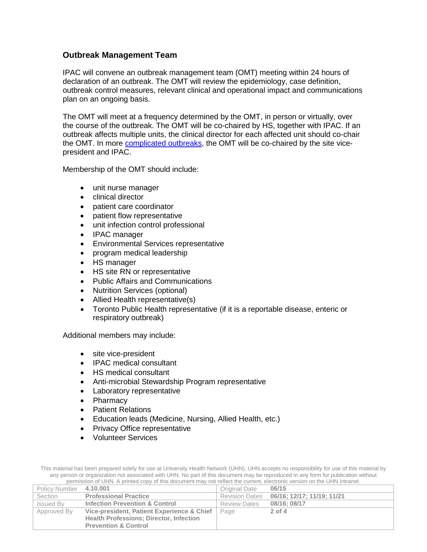#### **Outbreak Management Team**

IPAC will convene an outbreak management team (OMT) meeting within 24 hours of declaration of an outbreak. The OMT will review the epidemiology, case definition, outbreak control measures, relevant clinical and operational impact and communications plan on an ongoing basis.

The OMT will meet at a frequency determined by the OMT, in person or virtually, over the course of the outbreak. The OMT will be co-chaired by HS, together with IPAC. If an outbreak affects multiple units, the clinical director for each affected unit should co-chair the OMT. In more [complicated outbreaks,](#page-0-0) the OMT will be co-chaired by the site vicepresident and IPAC.

Membership of the OMT should include:

- unit nurse manager
- clinical director
- patient care coordinator
- patient flow representative
- unit infection control professional
- IPAC manager
- Environmental Services representative
- program medical leadership
- HS manager
- HS site RN or representative
- Public Affairs and Communications
- Nutrition Services (optional)
- Allied Health representative(s)
- Toronto Public Health representative (if it is a reportable disease, enteric or respiratory outbreak)

Additional members may include:

- site vice-president
- IPAC medical consultant
- HS medical consultant
- Anti-microbial Stewardship Program representative
- Laboratory representative
- Pharmacy
- Patient Relations
- Education leads (Medicine, Nursing, Allied Health, etc.)
- Privacy Office representative
- Volunteer Services

This material has been prepared solely for use at University Health Network (UHN). UHN accepts no responsibility for use of this material by any person or organization not associated with UHN. No part of this document may be reproduced in any form for publication without permission of UHN. A printed copy of this document may not reflect the current, electronic version on the UHN Intranet.

| Policy Number 4.10.001 |                                                | Original Date         | 06/15                      |
|------------------------|------------------------------------------------|-----------------------|----------------------------|
| Section                | <b>Professional Practice</b>                   | <b>Revision Dates</b> | 06/16; 12/17; 11/19; 11/21 |
| Issued By              | <b>Infection Prevention &amp; Control</b>      | <b>Review Dates</b>   | 08/16: 08/17               |
| Approved By            | Vice-president, Patient Experience & Chief     | Page                  | $2$ of $4$                 |
|                        | <b>Health Professions: Director, Infection</b> |                       |                            |
|                        | <b>Prevention &amp; Control</b>                |                       |                            |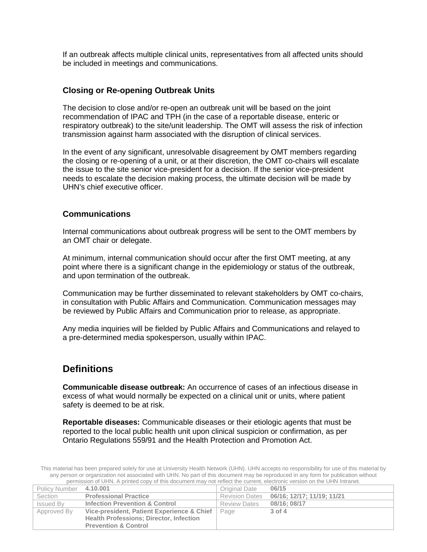If an outbreak affects multiple clinical units, representatives from all affected units should be included in meetings and communications.

#### **Closing or Re-opening Outbreak Units**

The decision to close and/or re-open an outbreak unit will be based on the joint recommendation of IPAC and TPH (in the case of a reportable disease, enteric or respiratory outbreak) to the site/unit leadership. The OMT will assess the risk of infection transmission against harm associated with the disruption of clinical services.

In the event of any significant, unresolvable disagreement by OMT members regarding the closing or re-opening of a unit, or at their discretion, the OMT co-chairs will escalate the issue to the site senior vice-president for a decision. If the senior vice-president needs to escalate the decision making process, the ultimate decision will be made by UHN's chief executive officer.

#### **Communications**

Internal communications about outbreak progress will be sent to the OMT members by an OMT chair or delegate.

At minimum, internal communication should occur after the first OMT meeting, at any point where there is a significant change in the epidemiology or status of the outbreak, and upon termination of the outbreak.

Communication may be further disseminated to relevant stakeholders by OMT co-chairs, in consultation with Public Affairs and Communication. Communication messages may be reviewed by Public Affairs and Communication prior to release, as appropriate.

Any media inquiries will be fielded by Public Affairs and Communications and relayed to a pre-determined media spokesperson, usually within IPAC.

### **Definitions**

<span id="page-2-0"></span>**Communicable disease outbreak:** An occurrence of cases of an infectious disease in excess of what would normally be expected on a clinical unit or units, where patient safety is deemed to be at risk.

<span id="page-2-1"></span>**Reportable diseases:** Communicable diseases or their etiologic agents that must be reported to the local public health unit upon clinical suspicion or confirmation, as per Ontario Regulations 559/91 and the Health Protection and Promotion Act.

This material has been prepared solely for use at University Health Network (UHN). UHN accepts no responsibility for use of this material by any person or organization not associated with UHN. No part of this document may be reproduced in any form for publication without permission of UHN. A printed copy of this document may not reflect the current, electronic version on the UHN Intranet.

| Policy Number 4.10.001 |                                                | Original Date         | 06/15                      |
|------------------------|------------------------------------------------|-----------------------|----------------------------|
| Section                | <b>Professional Practice</b>                   | <b>Revision Dates</b> | 06/16; 12/17; 11/19; 11/21 |
| Issued By              | <b>Infection Prevention &amp; Control</b>      | <b>Review Dates</b>   | 08/16: 08/17               |
| Approved By            | Vice-president, Patient Experience & Chief     | Page                  | 3 of 4                     |
|                        | <b>Health Professions: Director, Infection</b> |                       |                            |
|                        | <b>Prevention &amp; Control</b>                |                       |                            |